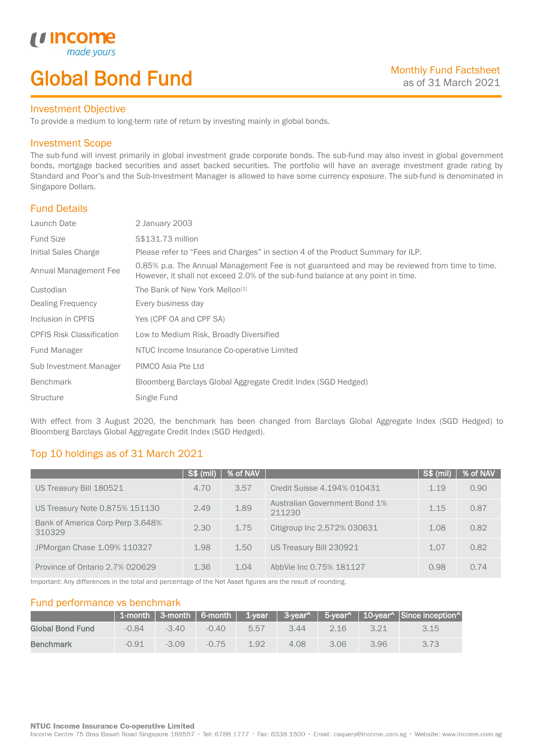# Global Bond Fund

## Investment Objective

*u* income made<sub>y</sub>

İ

To provide a medium to long-term rate of return by investing mainly in global bonds.

## Investment Scope

The sub-fund will invest primarily in global investment grade corporate bonds. The sub-fund may also invest in global government bonds, mortgage backed securities and asset backed securities. The portfolio will have an average investment grade rating by Standard and Poor's and the Sub-Investment Manager is allowed to have some currency exposure. The sub-fund is denominated in Singapore Dollars.

## Fund Details

| Launch Date                      | 2 January 2003                                                                                                                                                                   |
|----------------------------------|----------------------------------------------------------------------------------------------------------------------------------------------------------------------------------|
| <b>Fund Size</b>                 | S\$131.73 million                                                                                                                                                                |
| Initial Sales Charge             | Please refer to "Fees and Charges" in section 4 of the Product Summary for ILP.                                                                                                  |
| Annual Management Fee            | 0.85% p.a. The Annual Management Fee is not guaranteed and may be reviewed from time to time.<br>However, it shall not exceed 2.0% of the sub-fund balance at any point in time. |
| Custodian                        | The Bank of New York Mellon <sup>[1]</sup>                                                                                                                                       |
| Dealing Frequency                | Every business day                                                                                                                                                               |
| Inclusion in CPFIS               | Yes (CPF OA and CPF SA)                                                                                                                                                          |
| <b>CPFIS Risk Classification</b> | Low to Medium Risk, Broadly Diversified                                                                                                                                          |
| Fund Manager                     | NTUC Income Insurance Co-operative Limited                                                                                                                                       |
| Sub Investment Manager           | PIMCO Asia Pte Ltd                                                                                                                                                               |
| <b>Benchmark</b>                 | Bloomberg Barclays Global Aggregate Credit Index (SGD Hedged)                                                                                                                    |
| <b>Structure</b>                 | Single Fund                                                                                                                                                                      |

With effect from 3 August 2020, the benchmark has been changed from Barclays Global Aggregate Index (SGD Hedged) to Bloomberg Barclays Global Aggregate Credit Index (SGD Hedged).

## Top 10 holdings as of 31 March 2021

|                                            | $S\$ (mil) | % of NAV |                                                | $S\$ (mil) | % of NAV |
|--------------------------------------------|------------|----------|------------------------------------------------|------------|----------|
| US Treasury Bill 180521                    | 4.70       | 3.57     | Credit Suisse 4.194% 010431                    | 1.19       | 0.90     |
| US Treasury Note 0.875% 151130             | 2.49       | 1.89     | <b>Australian Government Bond 1%</b><br>211230 | 1.15       | 0.87     |
| Bank of America Corp Perp 3.648%<br>310329 | 2.30       | 1.75     | Citigroup Inc 2.572% 030631                    | 1.08       | 0.82     |
| JPMorgan Chase 1.09% 110327                | 1.98       | 1.50     | US Treasury Bill 230921                        | 1.07       | 0.82     |
| Province of Ontario 2.7% 020629            | 1.36       | 1.04     | AbbVie Inc 0.75% 181127                        | 0.98       | 0.74     |

Important: Any differences in the total and percentage of the Net Asset figures are the result of rounding.

## Fund performance vs benchmark

|                         |         |         |         |      |      |      |      | 1-month 3-month 6-month 1-year 3-year^ 5-year^ 10-year^ Since inception^ |
|-------------------------|---------|---------|---------|------|------|------|------|--------------------------------------------------------------------------|
| <b>Global Bond Fund</b> | $-0.84$ | $-3.40$ | $-0.40$ | 5.57 | 3.44 | 2.16 | 3.21 | 3.15                                                                     |
| <b>Benchmark</b>        | $-0.91$ | $-3.09$ | $-0.75$ | 192  | 4.08 | 3.06 | 3.96 | 3.73                                                                     |